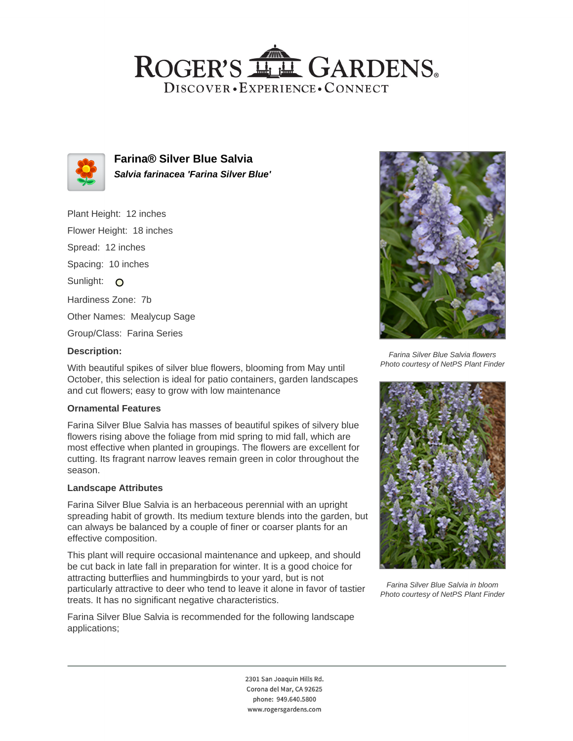## ROGER'S LL GARDENS. DISCOVER · EXPERIENCE · CONNECT



**Farina® Silver Blue Salvia Salvia farinacea 'Farina Silver Blue'**

Plant Height: 12 inches Flower Height: 18 inches Spread: 12 inches Spacing: 10 inches Sunlight: O Hardiness Zone: 7b Other Names: Mealycup Sage Group/Class: Farina Series

#### **Description:**

With beautiful spikes of silver blue flowers, blooming from May until October, this selection is ideal for patio containers, garden landscapes and cut flowers; easy to grow with low maintenance

#### **Ornamental Features**

Farina Silver Blue Salvia has masses of beautiful spikes of silvery blue flowers rising above the foliage from mid spring to mid fall, which are most effective when planted in groupings. The flowers are excellent for cutting. Its fragrant narrow leaves remain green in color throughout the season.

#### **Landscape Attributes**

Farina Silver Blue Salvia is an herbaceous perennial with an upright spreading habit of growth. Its medium texture blends into the garden, but can always be balanced by a couple of finer or coarser plants for an effective composition.

This plant will require occasional maintenance and upkeep, and should be cut back in late fall in preparation for winter. It is a good choice for attracting butterflies and hummingbirds to your yard, but is not particularly attractive to deer who tend to leave it alone in favor of tastier treats. It has no significant negative characteristics.

Farina Silver Blue Salvia is recommended for the following landscape applications;



Farina Silver Blue Salvia flowers Photo courtesy of NetPS Plant Finder



Farina Silver Blue Salvia in bloom Photo courtesy of NetPS Plant Finder

2301 San Joaquin Hills Rd. Corona del Mar, CA 92625 phone: 949.640.5800 www.rogersgardens.com